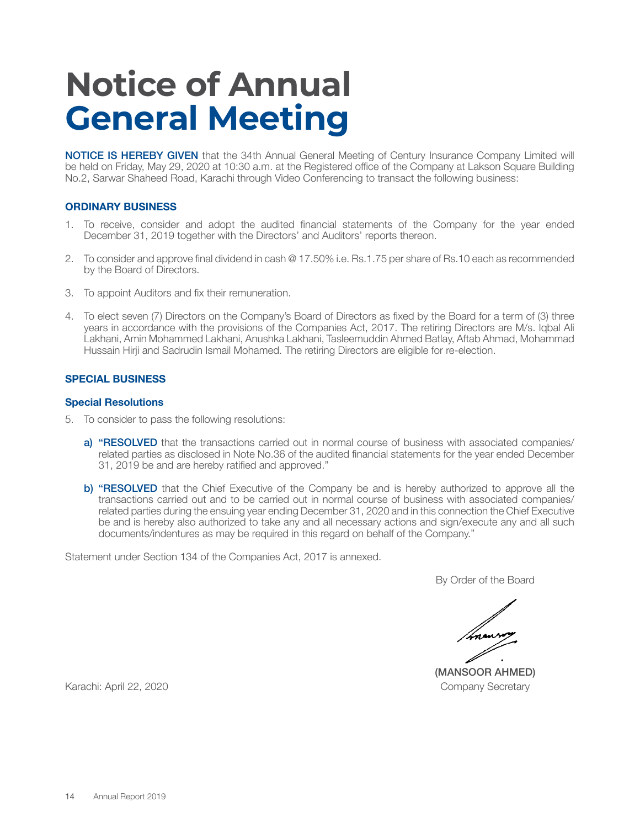# **Notice of Annual General Meeting**

NOTICE IS HEREBY GIVEN that the 34th Annual General Meeting of Century Insurance Company Limited will be held on Friday, May 29, 2020 at 10:30 a.m. at the Registered office of the Company at Lakson Square Building No.2, Sarwar Shaheed Road, Karachi through Video Conferencing to transact the following business:

## **ORDINARY BUSINESS**

- 1. To receive, consider and adopt the audited financial statements of the Company for the year ended December 31, 2019 together with the Directors' and Auditors' reports thereon.
- 2. To consider and approve final dividend in cash @ 17.50% i.e. Rs.1.75 per share of Rs.10 each as recommended by the Board of Directors.
- 3. To appoint Auditors and fix their remuneration.
- 4. To elect seven (7) Directors on the Company's Board of Directors as fixed by the Board for a term of (3) three years in accordance with the provisions of the Companies Act, 2017. The retiring Directors are M/s. Iqbal Ali Lakhani, Amin Mohammed Lakhani, Anushka Lakhani, Tasleemuddin Ahmed Batlay, Aftab Ahmad, Mohammad Hussain Hirji and Sadrudin Ismail Mohamed. The retiring Directors are eligible for re-election.

#### **SPECIAL BUSINESS**

#### **Special Resolutions**

- 5. To consider to pass the following resolutions:
	- a) "RESOLVED that the transactions carried out in normal course of business with associated companies/ related parties as disclosed in Note No.36 of the audited financial statements for the year ended December 31, 2019 be and are hereby ratified and approved."
	- b) "RESOLVED that the Chief Executive of the Company be and is hereby authorized to approve all the transactions carried out and to be carried out in normal course of business with associated companies/ related parties during the ensuing year ending December 31, 2020 and in this connection the Chief Executive be and is hereby also authorized to take any and all necessary actions and sign/execute any and all such documents/indentures as may be required in this regard on behalf of the Company."

Statement under Section 134 of the Companies Act, 2017 is annexed.

By Order of the Board

(MANSOOR AHMED)

Karachi: April 22, 2020 Company Secretary Company Secretary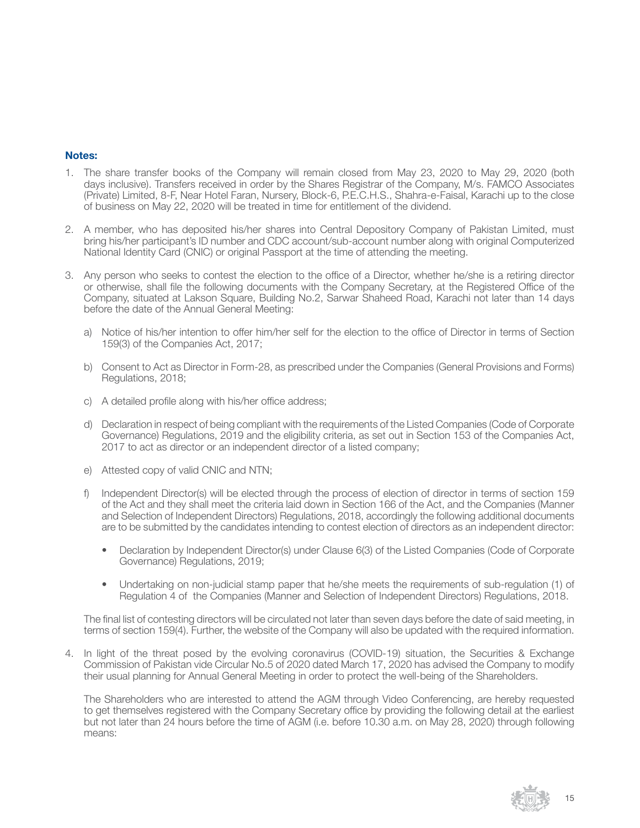## **Notes:**

- 1. The share transfer books of the Company will remain closed from May 23, 2020 to May 29, 2020 (both days inclusive). Transfers received in order by the Shares Registrar of the Company, M/s. FAMCO Associates (Private) Limited, 8-F, Near Hotel Faran, Nursery, Block-6, P.E.C.H.S., Shahra-e-Faisal, Karachi up to the close of business on May 22, 2020 will be treated in time for entitlement of the dividend.
- 2. A member, who has deposited his/her shares into Central Depository Company of Pakistan Limited, must bring his/her participant's ID number and CDC account/sub-account number along with original Computerized National Identity Card (CNIC) or original Passport at the time of attending the meeting.
- 3. Any person who seeks to contest the election to the office of a Director, whether he/she is a retiring director or otherwise, shall file the following documents with the Company Secretary, at the Registered Office of the Company, situated at Lakson Square, Building No.2, Sarwar Shaheed Road, Karachi not later than 14 days before the date of the Annual General Meeting:
	- a) Notice of his/her intention to offer him/her self for the election to the office of Director in terms of Section 159(3) of the Companies Act, 2017;
	- b) Consent to Act as Director in Form-28, as prescribed under the Companies (General Provisions and Forms) Regulations, 2018;
	- c) A detailed profile along with his/her office address;
	- d) Declaration in respect of being compliant with the requirements of the Listed Companies (Code of Corporate Governance) Regulations, 2019 and the eligibility criteria, as set out in Section 153 of the Companies Act, 2017 to act as director or an independent director of a listed company;
	- e) Attested copy of valid CNIC and NTN;
	- f) Independent Director(s) will be elected through the process of election of director in terms of section 159 of the Act and they shall meet the criteria laid down in Section 166 of the Act, and the Companies (Manner and Selection of Independent Directors) Regulations, 2018, accordingly the following additional documents are to be submitted by the candidates intending to contest election of directors as an independent director:
		- Declaration by Independent Director(s) under Clause 6(3) of the Listed Companies (Code of Corporate Governance) Regulations, 2019;
		- Undertaking on non-judicial stamp paper that he/she meets the requirements of sub-regulation (1) of Regulation 4 of the Companies (Manner and Selection of Independent Directors) Regulations, 2018.

The final list of contesting directors will be circulated not later than seven days before the date of said meeting, in terms of section 159(4). Further, the website of the Company will also be updated with the required information.

4. In light of the threat posed by the evolving coronavirus (COVID-19) situation, the Securities & Exchange Commission of Pakistan vide Circular No.5 of 2020 dated March 17, 2020 has advised the Company to modify their usual planning for Annual General Meeting in order to protect the well-being of the Shareholders.

The Shareholders who are interested to attend the AGM through Video Conferencing, are hereby requested to get themselves registered with the Company Secretary office by providing the following detail at the earliest but not later than 24 hours before the time of AGM (i.e. before 10.30 a.m. on May 28, 2020) through following means:

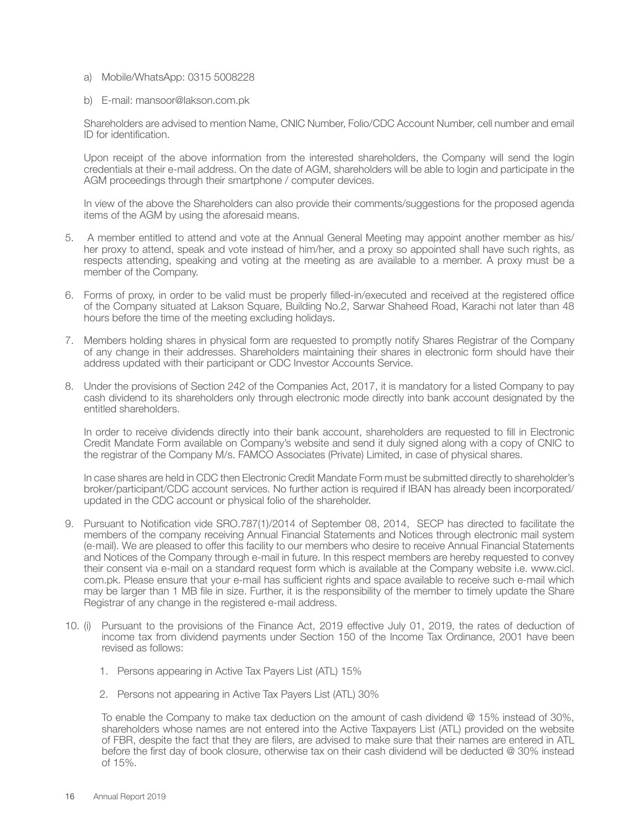- a) Mobile/WhatsApp: 0315 5008228
- b) E-mail: mansoor@lakson.com.pk

Shareholders are advised to mention Name, CNIC Number, Folio/CDC Account Number, cell number and email ID for identification.

Upon receipt of the above information from the interested shareholders, the Company will send the login credentials at their e-mail address. On the date of AGM, shareholders will be able to login and participate in the AGM proceedings through their smartphone / computer devices.

In view of the above the Shareholders can also provide their comments/suggestions for the proposed agenda items of the AGM by using the aforesaid means.

- 5. A member entitled to attend and vote at the Annual General Meeting may appoint another member as his/ her proxy to attend, speak and vote instead of him/her, and a proxy so appointed shall have such rights, as respects attending, speaking and voting at the meeting as are available to a member. A proxy must be a member of the Company.
- 6. Forms of proxy, in order to be valid must be properly filled-in/executed and received at the registered office of the Company situated at Lakson Square, Building No.2, Sarwar Shaheed Road, Karachi not later than 48 hours before the time of the meeting excluding holidays.
- 7. Members holding shares in physical form are requested to promptly notify Shares Registrar of the Company of any change in their addresses. Shareholders maintaining their shares in electronic form should have their address updated with their participant or CDC Investor Accounts Service.
- 8. Under the provisions of Section 242 of the Companies Act, 2017, it is mandatory for a listed Company to pay cash dividend to its shareholders only through electronic mode directly into bank account designated by the entitled shareholders.

In order to receive dividends directly into their bank account, shareholders are requested to fill in Electronic Credit Mandate Form available on Company's website and send it duly signed along with a copy of CNIC to the registrar of the Company M/s. FAMCO Associates (Private) Limited, in case of physical shares.

In case shares are held in CDC then Electronic Credit Mandate Form must be submitted directly to shareholder's broker/participant/CDC account services. No further action is required if IBAN has already been incorporated/ updated in the CDC account or physical folio of the shareholder.

- 9. Pursuant to Notification vide SRO.787(1)/2014 of September 08, 2014, SECP has directed to facilitate the members of the company receiving Annual Financial Statements and Notices through electronic mail system (e-mail). We are pleased to offer this facility to our members who desire to receive Annual Financial Statements and Notices of the Company through e-mail in future. In this respect members are hereby requested to convey their consent via e-mail on a standard request form which is available at the Company website i.e. www.cicl. com.pk. Please ensure that your e-mail has sufficient rights and space available to receive such e-mail which may be larger than 1 MB file in size. Further, it is the responsibility of the member to timely update the Share Registrar of any change in the registered e-mail address.
- 10. (i) Pursuant to the provisions of the Finance Act, 2019 effective July 01, 2019, the rates of deduction of income tax from dividend payments under Section 150 of the Income Tax Ordinance, 2001 have been revised as follows:
	- 1. Persons appearing in Active Tax Payers List (ATL) 15%
	- 2. Persons not appearing in Active Tax Payers List (ATL) 30%

To enable the Company to make tax deduction on the amount of cash dividend @ 15% instead of 30%, shareholders whose names are not entered into the Active Taxpayers List (ATL) provided on the website of FBR, despite the fact that they are filers, are advised to make sure that their names are entered in ATL before the first day of book closure, otherwise tax on their cash dividend will be deducted @ 30% instead of 15%.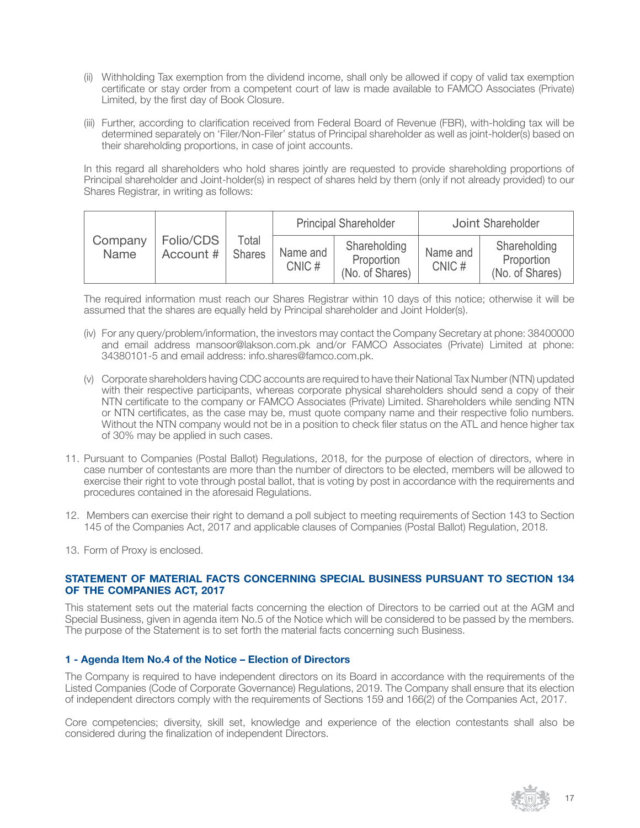- (ii) Withholding Tax exemption from the dividend income, shall only be allowed if copy of valid tax exemption certificate or stay order from a competent court of law is made available to FAMCO Associates (Private) Limited, by the first day of Book Closure.
- (iii) Further, according to clarification received from Federal Board of Revenue (FBR), with-holding tax will be determined separately on 'Filer/Non-Filer' status of Principal shareholder as well as joint-holder(s) based on their shareholding proportions, in case of joint accounts.

In this regard all shareholders who hold shares jointly are requested to provide shareholding proportions of Principal shareholder and Joint-holder(s) in respect of shares held by them (only if not already provided) to our Shares Registrar, in writing as follows:

|                 |                        |                        | <b>Principal Shareholder</b> |                                               | Joint Shareholder |                                               |
|-----------------|------------------------|------------------------|------------------------------|-----------------------------------------------|-------------------|-----------------------------------------------|
| Company<br>Name | Folio/CDS<br>Account # | Total<br><b>Shares</b> | Name and<br>CNIC#            | Shareholding<br>Proportion<br>(No. of Shares) | Name and<br>CNIC# | Shareholding<br>Proportion<br>(No. of Shares) |

The required information must reach our Shares Registrar within 10 days of this notice; otherwise it will be assumed that the shares are equally held by Principal shareholder and Joint Holder(s).

- (iv) For any query/problem/information, the investors may contact the Company Secretary at phone: 38400000 and email address mansoor@lakson.com.pk and/or FAMCO Associates (Private) Limited at phone: 34380101-5 and email address: info.shares@famco.com.pk.
- (v) Corporate shareholders having CDC accounts are required to have their National Tax Number (NTN) updated with their respective participants, whereas corporate physical shareholders should send a copy of their NTN certificate to the company or FAMCO Associates (Private) Limited. Shareholders while sending NTN or NTN certificates, as the case may be, must quote company name and their respective folio numbers. Without the NTN company would not be in a position to check filer status on the ATL and hence higher tax of 30% may be applied in such cases.
- 11. Pursuant to Companies (Postal Ballot) Regulations, 2018, for the purpose of election of directors, where in case number of contestants are more than the number of directors to be elected, members will be allowed to exercise their right to vote through postal ballot, that is voting by post in accordance with the requirements and procedures contained in the aforesaid Regulations.
- 12. Members can exercise their right to demand a poll subject to meeting requirements of Section 143 to Section 145 of the Companies Act, 2017 and applicable clauses of Companies (Postal Ballot) Regulation, 2018.
- 13. Form of Proxy is enclosed.

# **STATEMENT OF MATERIAL FACTS CONCERNING SPECIAL BUSINESS PURSUANT TO SECTION 134 OF THE COMPANIES ACT, 2017**

This statement sets out the material facts concerning the election of Directors to be carried out at the AGM and Special Business, given in agenda item No.5 of the Notice which will be considered to be passed by the members. The purpose of the Statement is to set forth the material facts concerning such Business.

# **1 - Agenda Item No.4 of the Notice – Election of Directors**

The Company is required to have independent directors on its Board in accordance with the requirements of the Listed Companies (Code of Corporate Governance) Regulations, 2019. The Company shall ensure that its election of independent directors comply with the requirements of Sections 159 and 166(2) of the Companies Act, 2017.

Core competencies; diversity, skill set, knowledge and experience of the election contestants shall also be considered during the finalization of independent Directors.